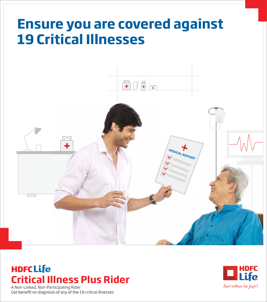# **Ensure you are covered against 19 Critical Illnesses**



# **HDFCLife Critical Illness Plus Rider**

A Non-Linked, Non-Participating Rider<br>Get benefit on diagnosis of any of the 19 critical illnesses

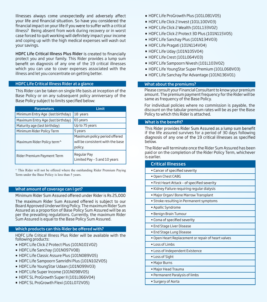Illnesses always come unexpectedly and adversely affect your life and financial situation. So have you considered the financial impact on your life if you were to suffer with a critical illness? Being absent from work during recovery or in worst case forced to quit working will definitely impact your income and coping up with the high medical expenses will wash out your savings.

HDFC Life Critical Illness Plus Rider is created to financially protect you and your family. This Rider provides a lump sum benefit on diagnosis of any one of the 19 critical illnesses which you can use to cover expenses associated with the illness and let you concentrate on getting better.

#### HDFC Life Critical Illness Rider at a glance

This Rider can be taken on single life basis at inception of the Base Policy or on any subsequent policy anniversary of the Base Policy subject to limits specified below:

| <b>Parameters</b>                      | Limit                                                                        |
|----------------------------------------|------------------------------------------------------------------------------|
| Minimum Entry Age (last birthday)      | 18 years                                                                     |
| Maximum Entry Age (last birthday)      | 65 years                                                                     |
| Maturity age (last birthday)           | Up to 75 years                                                               |
| Minimum Rider Policy Term              | 5 years                                                                      |
| Maximum Rider Policy term <sup>^</sup> | Maximum policy period offered<br>will be consistent with the base<br>policy. |
| Rider Premium Payment Term             | Regular Pay<br>Limited Pay - 5 and 10 years                                  |

 $^{\wedge}$  This Rider will not be offered where the outstanding Rider Premium Paying Term under the Base Policy is less than 5 years.

#### What amount of coverage can I get?

Minimum Rider Sum Assured offered under Rider is Rs 25,000

The maximum Rider Sum Assured offered is subject to our Board Approved Underwriting Policy. The maximum Rider Sum Assured as a proportion of Base Policy Sum Assured will be as per the prevailing regulations. Currently, the maximum Rider Sum Assured is equal to the Base Policy Sum Assured.

#### Which products can this Rider be offered with?

HDFC Life Critical Illness Plus Rider will be available with the following products:

- HDFC Life Click 2 Protect Plus (101N101V02)
- HDFC Life Sanchay (101N097V08)
- HDFC Life Classic Assure Plus (101N089V05)
- HDFC Life Sampoorn Samridhi Plus (101N102V05)
- HDFC Life YoungStar Udaan (101N099V03)
- HDFC Life Super Income (101N098V05)
- HDFC SL ProGrowth Super II (101L066V04)
- HDFC SL ProGrowth Flexi (101L072V05)
- HDFC Life ProGrowth Plus (101L081V05)
- HDFC Life Click 2 Invest (101L100V03)
- HDFC Life Click 2 Wealth (101L133V02)
- HDFC Life Click 2 Protect 3D Plus (101N115V05)
- HDFC Life Sanchay Plus (101N134V03)
- HDFC Life Pragati (101N114V04)
- HDFC Life Uday (101N105V04)
- HDFC Life Crest (101L064V03)
- HDFC Life Sampoorn Nivesh (101L103V02)
- HDFC Life YoungStar Super Premium (101L068V03)
- HDFC Life Sanchay Par Advantage (101N136V01)

#### What about the premiums?

Please consult your Financial Consultant to know your premium amount. The premium payment frequency for the Rider will be same as frequency of the Base Policy.

For individual policies where no commission is payable, the discount on the tabular premium rates will be as per the Base Policy to which this Rider is attached.

#### What is the benefit?

This Rider provides Rider Sum Assured as a lump sum benefit if the life assured survives for a period of 30 days following<br>diagnosis of any one of the 19 critical illnesses as specified below.

The Rider will terminate once the Rider Sum Assured has been paid or on the completion of the Rider Policy Term, whichever is earlier.

| <b>Critical Illnesses</b>                          |  |
|----------------------------------------------------|--|
| • Cancer of specified severity                     |  |
| . Open Chest CABG                                  |  |
| • First Heart Attack - of specified severity       |  |
| • Kidney Failure requiring regular dialysis        |  |
| . Major Organ/Bone Marrow Transplant               |  |
| · Stroke resulting in Permanent symptoms           |  |
| • Apallic Syndrome                                 |  |
| • Benign Brain Tumour                              |  |
| • Coma of specified severity                       |  |
| • End Stage Liver Disease                          |  |
| • End Stage Lung Disease                           |  |
| . Open Heart Replacement or repair of heart valves |  |
| • Loss of Limbs                                    |  |
| • Loss of Independent Existence                    |  |
| • Loss of Sight                                    |  |
| • Major Burns                                      |  |
| · Major Head Trauma                                |  |
| • Permanent Paralysis of limbs                     |  |
| • Surgery of Aorta                                 |  |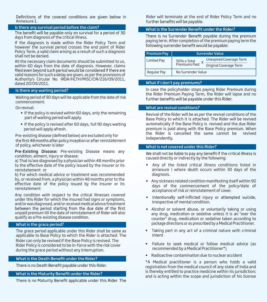Definitions of the covered conditions are given below in Annexure 1.

#### Is there any survival period before the claim?

The benefit will be payable only on survival for a period of 30 days from diagnosis of the critical illness.

If the diagnosis is made within the Rider Policy Term and however the survival period crosses the end point of Rider Policy Term, a valid claim arising as a result of such a diagnosis shall not be denied.

All the necessary claim documents should be submitted to us, within 60 days from the date of diagnosis. However, claims<br>filed even beyond such period would be considered if there are valid reasons for such a delay are given, as per the provisions of Authority's Circular No. IRDA/HLTH/MISC/CIR/216/09/2011, dated 20/09/2011.

#### Is there any waiting period?

Waiting period of 90 days will be applicable from the date of risk commencement.

On revival:

- If the policy is revived within 60 days, only the remaining part of waiting period will apply.
- If the policy is revived after 60 days, full 90 days waiting period will apply afresh.

Pre-existing disease (defined below) are excluded only for the first 48 months after policy inception or after reinstatement of policy, whichever is later

Pre-Existing Disease: Pre-existing Disease means any condition, ailment, injury or disease:

a) That is/are diagnosed by a physician within 48 months prior to the effective date of the policy issued by the insurer or its reinstatement or

b) For which medical advice or treatment was recommended by, or received from, a physician within 48 months prior to the effective date of the policy issued by the insurer or its reinstatement

Any condition with respect to the critical illnesses covered under this Rider for which the insured had signs or symptoms, and/or was diagnosed, and/or received medical advice/treatment unpaid premium till the date of reinstatement of Rider will also qualify as a Pre-existing disease condition.

#### What is the grace period?

The grace period applicable under this Rider shall be same as applicable to Base Policy to which the Rider is attached. The Rider can only be revived if the Base Policy is revived. The Rider Policy is considered to be in-force with the risk cover during the grace period without any interruption.

# What is the Death Benefit under the Rider?

There is no Death Benefit payable under this Rider.

#### What is the Maturity Benefit under the Rider?

There is no Maturity Benefit applicable under this Rider. The

Rider will terminate at the end of Rider Policy Term and no further benefits will be payable.

# What is the Surrender Benefit under the Rider?

There is no Surrender Benefit payable during the premium paying term. After completion of the premium paying term the<br>following surrender benefit would be payable:

| <b>Premium Pay</b> | <b>Surrender Value</b>                                                                         |  |
|--------------------|------------------------------------------------------------------------------------------------|--|
| Limited Pay        | Unexpired Coverage Term<br>50% x Total<br>Premiums Paid<br>$\lambda$<br>Original Coverage Term |  |
| Regular Pay        | No Surrender Value                                                                             |  |

#### What if I don't pay premiums?

In case the policyholder stops paying Rider Premium during the Rider Premium Paying Term, the Rider will lapse and no further benefits will be payable under this Rider.

#### What are revival conditions?

Revival of the Rider will be as per the revival conditions of the Base Policy to which it is attached. The Rider will be revived automatically if the Base Policy is revived and the due Rider premium is paid along with the Base Policy premium. When the Rider is cancelled the same cannot be revived independently.

#### What is not covered under this Rider?

We shall not be liable to pay any benefit if the critical illness is caused directly or indirectly by the following:

- Any of the listed critical illness conditions listed in annexure I where death occurs within 30 days of the diagnosis.
- Any sickness related condition manifesting itself within 90 days of the commencement of the policy/date of acceptance of risk or reinstatement of cover.
- Intentionally self-inflicted injury or attempted suicide, irrespective of mental condition.
- Alcohol or solvent abuse, or voluntarily taking or using any drug, medication or sedative unless it is an "over the counter" drug, medication or sedative taken according to package directions or as prescribed by a Medical Practitioner.
- Taking part in any act of a criminal nature with criminal intent
- Failure to seek medical or follow medical advice (as recommended by a Medical Practitioner\*)
- Radioactive contamination due to nuclear accident

\*A Medical practitioner is a person who holds a valid registration from the medical council of any state of India and is thereby entitled to practice medicine within its jurisdiction; and is acting within the scope and jurisdiction of his license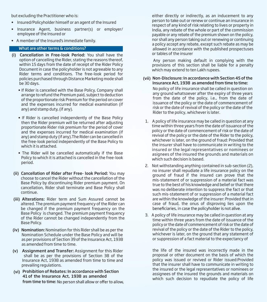but excluding the Practitioner who is:

- Insured/Policyholder himself or an agent of the Insured
- Insurance Agent, business partner(s) or employer/ employee of the Insured or
- A member of the Insured's immediate family.

# What are other terms & conditions?

- (i) Cancellation in Free-look Period: You shall have the option of cancelling the Rider, stating the reasons thereof, within 15 days from the date of receipt of the Rider Policy Document in case the policyholder is not agreeable to any Rider terms and conditions. The free-look period for policies purchased through Distance Marketing mode shall be 30 days.
	- If Rider is cancelled with the Base Policy, Company shall arrange to refund the Premium paid, subject to deduction of the proportionate risk Premium for the period on cover and the expenses incurred for medical examination (if any) and stamp duty, (if any).
	- If Rider is cancelled independently of the Base Policy then the Rider premium will be returned after adjusting proportionate Rider risk premium for the period of cover and the expenses incurred for medical examination (if any) and stamp duty (if any).The Rider can be cancelled in the free-look period independently of the Base Policy to which it is attached.
	- The Rider will be cancelled automatically if the Base Policy to which it is attached is cancelled in the free-look period.
- (ii) Cancellation of Rider after Free- look Period: You may choose to cancel the Rider without the cancellation of the Base Policy by discontinuing Rider premium payment. On cancellation, Rider shall terminate and Base Policy shall continue.
- (iii) Alterations: Rider term and Sum Assured cannot be altered. The premium payment frequency of the Rider can be changed if the premium payment frequency on the Base Policy is changed. The premium payment frequency of the Rider cannot be changed independently from the Base Policy.
- (iv) Nomination: Nomination for this Rider shall be as per the Nomination Schedule under the Base Policy and will be as per provisions of Section 39 of the Insurance Act, 1938 as amended from time to time.
- (v) Assignment and Transfer: Assignment for this Rider shall be as per the provisions of Section 38 of the Insurance Act, 1938 as amended from time to time and prevailing regulations.
- (vi) Prohibition of Rebates: In accordance with Section from time to time: No person shall allow or offer to allow, 41 of the Insurance Act, 1938 as amended

 either directly or indirectly, as an inducement to any person to take out or renew or continue an insurance in respect of any kind of risk relating to lives or property in India, any rebate of the whole or part of the commission payable or any rebate of the premium shown on the policy, nor shall any person taking out or renewing or continuing a policy accept any rebate, except such rebate as may be allowed in accordance with the published prospectuses or tables of the insurer

 Any person making default in complying with the provisions of this section shall be liable for a penalty which may extend to ten Lakh rupees.

# (vii) Non-Disclosure: In accordance with Section 45 of the Insurance Act, 1938 as amended from time to time:

No policy of life insurance shall be called in question on any ground whatsoever after the expiry of three years from the date of the policy, i.e., from the date of issuance of the policy or the date of commencement of risk or the date of revival of the policy or the date of the Rider to the policy, whichever is later.

- 1. A policy of life insurance may be called in question at any time within three years from the date of issuance of the policy or the date of commencement of risk or the date of revival of the policy or the date of the Rider to the policy, whichever is later, on the ground of fraud: Provided that the insurer shall have to communicate in writing to the insured or the legal representatives or nominees or asignees of the insured the grounds and materials on which such decision is based.
- 2. Not withstanding anything contained in sub-section (2), no insurer shall repudiate a life insurance policy on the ground of fraud if the insured can prove that the mis-statement of or suppression of a material fact was true to the best of his knowledge and belief or that there was no deliberate intention to suppress the fact or that such mis-statement of or suppression of a material fact are within the knowledge of the insurer: Provided that in case of fraud, the onus of disproving lies upon the beneficiaries, in case the policyholder is not alive.
- 3. A policy of life insurance may be called in question at any time within three years from the date of issuance of the policy or the date of commencement of risk or the date of revival of the policy or the date of the Rider to the policy, whichever is later, on the ground that any statement of or suppression of a fact material to the expectancy of

the life of the insured was incorrectly made in the proposal or other document on the basis of which the policy was issued or revived or Rider issued:Provided that the insurer shall have to communicate in writing to the insured or the legal representatives or nominees or assignees of the insured the grounds and materials on which such decision to repudiate the policy of life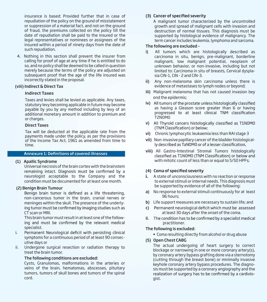insurance is based: Provided further that in case of repudiation of the policy on the ground of misstatement or suppression of a material fact, and not on the ground of fraud, the premiums collected on the policy till the date of repudiation shall be paid to the insured or the legal representatives or nominees or assignees of the insured within a period of ninety days from the date of such repudiation.

4. Nothing in this section shall prevent the insurer from calling for proof of age at any time if he is entitled to do so, and no policy shall be deemed to be called in question merely because the terms of the policy are adjusted on subsequent proof that the age of the life insured was incorrectly stated in the proposal.

#### (viii) Indirect & Direct Tax

#### Indirect Taxes

Taxes and levies shall be levied as applicable. Any taxes, statutory levy becoming applicable in future may become payable by you by any method including by levy of an additional monetary amount in addition to premium and or charges.

#### Direct Taxes

Tax will be deducted at the applicable rate from the payments made under the policy, as per the provisions of the Income Tax Act, 1961 as amended from time to time.

#### **Annexure 1: Definitions of covered illnesses**

#### (1) Apallic Syndrome

 Universal necrosis of the brain cortex with the brainstem remaining intact. Diagnosis must be confirmed by a neurologist acceptable to the Company and the condition must be documented for at least one month.

#### (2) Benign Brain Tumour

Benign brain tumor is defined as a life threatening, non-cancerous tumor in the brain, cranial nerves or meninges within the skull. The presence of the underlying tumor must be confirmed by imaging studies such as CT scan or MRI.

 This brain tumor must result in at least one of the following and must be confirmed by the relevant medical specialist.

- i. Permanent Neurological deficit with persisting clinical symptoms for a continuous period of at least 90 consecutive days or
- ii. Undergone surgical resection or radiation therapy to treat the brain tumor.

#### The following conditions are excluded:

 Cysts, Granulomas, malformations in the arteries or veins of the brain, hematomas, abscesses, pituitary tumors, tumors of skull bones and tumors of the spinal cord.

#### (3) Cancer of specified severity

 A malignant tumor characterized by the uncontrolled growth and spread of malignant cells with invasion and destruction of normal tissues. This diagnosis must be supported by histological evidence of malignancy. The term cancer includes leukemia, lymphoma and sarcoma.

#### The following are excluded –

- i) All tumors which are histologically described as carcinoma in situ, benign, pre-malignant, borderline malignant, low malignant potential, neoplasm of unknown behavior, or non-invasive, including but not limited to: Carcinoma in situ of breasts, Cervical dysplasia CIN-1, CIN - 2 and CIN-3.
- ii) Any non-melanoma skin carcinoma unless there is evidence of metastases to lymph nodes or beyond;
- iii) Malignant melanoma that has not caused invasion bey ond the epidermis;
- iv) All tumors of the prostate unless histologically classified as having a Gleason score greater than 6 or having progressed to at least clinical TNM classification T2N0M0
- v) All Thyroid cancers histologically classified as T1N0M0 (TNM Classification) or below;
- vi) Chronic lymphocytic leukaemia less than RAI stage 3
- vii) Non-invasive papillary cancer of the bladder histologically described as TaNOMO or of a lesser classification,
- viii) All Gastro-Intestinal Stromal Tumors histologically classified as T1N0M0 (TNM Classification) or below and with mitotic count of less than or equal to 5/50 HPFs;

#### (4) Coma of specified severity

- **i.** A state of unconsciousness with no reaction or response to external stimuli or internal needs. This diagnosis must be supported by evidence of all of the following:
- a) No response to external stimuli continuously for at least 96 hours;
- b) Life support measures are necessary to sustain life; and
- Permanent neurological deficit which must be assessed c) at least 30 days after the onset of the coma.
- ii. The condition has to be confirmed by a specialist medical practitioner.

#### The following is excluded:

• Coma resulting directly from alcohol or drug abuse

#### (5) Open Chest CABG

The actual undergoing of heart surgery to correct blockage or narrowing in one or more coronary artery(s), by coronary artery bypass grafting done via a sternotomy (cutting through the breast bone) or minimally invasive keyhole coronary artery bypass procedures. The diagnosis must be supported by a coronary angiography and the realization of surgery has to be confirmed by a cardiologist.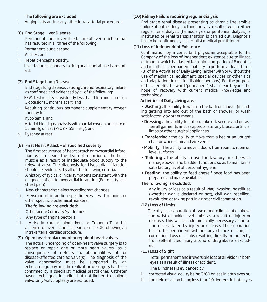# The following are excluded:

i. Angioplasty and/or any other intra-arterial procedures

# (6) End Stage Liver Disease

Permanent and irreversible failure of liver function that has resulted in all three of the following:

- i. Permanent jaundice; and
- ii. Ascites; and
- iii. Hepatic encephalopathy.

 Liver failure secondary to drug or alcohol abuse is excluded.

# (7) End Stage Lung Disease

End stage lung disease, causing chronic respiratory failure, as confirmed and evidenced by all of the following:

- i. FEV1 test results consistently less than 1 litre measured on 3 occasions 3 months apart; and
- ii. Requiring continuous permanent supplementary oxygen therapy for

hypoxemia; and

- iii. Arterial blood gas analysis with partial oxygen pressure of 55mmHg or less (PaO2 < 55mmHg); and
- iv. Dyspnea at rest.

# (8) First Heart Attack – of specified severity

The first occurrence of heart attack or myocardial infarction, which means the death of a portion of the heart muscle as a result of inadequate blood supply to the relevant area. The diagnosis for Myocardial Infarction should be evidenced by all of the following criteria:

- i. A history of typical clinical symptoms consistent with the diagnosis of acute myocardial infarction (For e.g. typical chest pain)
- ii. New characteristic electrocardiogram changes
- iii. Elevation of infarction specific enzymes, Troponins or other specific biochemical markers.

# The following are excluded:

- i. Other acute Coronary Syndromes
- ii. Any type of angina pectoris
- iii. A rise in cardiac biomarkers or Troponin T or I in absence of overt ischemic heart disease OR following an intra-arterial cardiac procedure.

# (9) Open heart replacement or repair of heart valves

 The actual undergoing of open-heart valve surgery is to replace or repair one or more heart valves, as a consequence of defects in, abnormalities of, or disease-affected cardiac valve(s). The diagnosis of the valve abnormality must be supported by an echocardiography and the realization of surgery has to be confirmed by a specialist medical practitioner. Catheter based techniques including but not limited to, balloon valvotomy/valvuloplasty are excluded.

# (10) Kidney Failure requiring regular dialysis

End stage renal disease presenting as chronic irreversible failure of both kidneys to function, as a result of which either regular renal dialysis (hemodialysis or peritoneal dialysis) is instituted or renal transplantation is carried out. Diagnosis has to be confirmed by a specialist medical practitioner.

# (11) Loss of Independent Existence

Confirmation by a consultant physician acceptable to the Company of the loss of independent existence due to illness or trauma, which has lasted for a minimum period of 6 months and results in a permanent inability to perform at least three (3) of the Activities of Daily Living (either with or without the use of mechanical equipment, special devices or other aids and adaptations in use for disabled persons). For the purpose of this benefit, the word "permanent", shall mean beyond the hope of recovery with current medical knowledge and technology.

# Activities of Daily Living are:-

 • Washing : the ability to wash in the bath or shower (including getting into and out of the bath or shower) or wash satisfactorily by other means.

- Dressing : the ability to put on, take off, secure and unfasten all garments and, as appropriate, any braces, artificial limbs or other surgical appliances.
- Transferring : the ability to move from a bed or an upright chair or wheelchair and vice versa.
- Mobility : The ability to move indoors from room to room on level surfaces.
- Toileting : the ability to use the lavatory or otherwise manage bowel and bladder functions so as to maintain a satisfactory level of personal hygiene.
- Feeding: the ability to feed oneself once food has been prepared and made available.

# The following is excluded:

 Any injury or loss as a result of War, invasion, hostilities (whether war is declared or not), civil war, rebellion, revolu tion or taking part in a riot or civil commotion.

# (12) Loss of Limbs

 The physical separation of two or more limbs, at or above the wrist or ankle level limbs as a result of injury or disease. This will include medically necessary amputation necessitated by injury or disease. The separation has to be permanent without any chance of surgical correction. Loss of Limbs resulting directly or indirectly from self-inflicted injury, alcohol or drug abuse is excluded.

# (13) Loss of Sight

Total, permanent and irreversible loss of all vision in both eyes as a result of illness or accident.

The Blindness is evidenced by:

- i. corrected visual acuity being 3/60 or less in both eyes or;
- ii. the field of vision being less than 10 degrees in both eyes.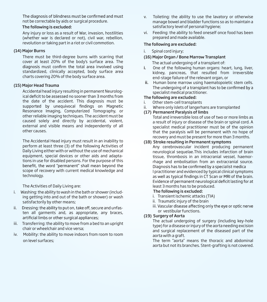The diagnosis of blindness must be confirmed and must not be correctable by aids or surgical procedure.

#### The following is excluded:

Any injury or loss as a result of War, invasion, hostilities (whether war is declared or not), civil war, rebellion, revolution or taking part in a riot or civil commotion.

# (14) Major Burns

There must be third-degree burns with scarring that cover at least 20% of the body's surface area. The diagnosis must confirm the total area involved using standardized, clinically accepted, body surface area charts covering 20% of the body surface area.

# (15) Major Head Trauma

Accidental head injury resulting in permanent Neurological deficit to be assessed no sooner than 3 months from the date of the accident. This diagnosis must be supported by unequivocal findings on Magnetic Resonance Imaging, Computerized Tomography, or other reliable imaging techniques. The accident must be caused solely and directly by accidental, violent, external and visible means and independently of all other causes.

The Accidental Head injury must result in an inability to perform at least three (3) of the following Activities of Daily Living either with or without the use of mechanical equipment, special devices or other aids and adaptations in use for disabled persons. For the purpose of this benefit, the word "permanent" shall mean beyond the scope of recovery with current medical knowledge and technology.

The Activities of Daily Living are:

- i. Washing: the ability to wash in the bath or shower (including getting into and out of the bath or shower) or wash satisfactorily by other means;
- Dressing: the ability to put on, take off, secure and unfasii. ten all garments and, as appropriate, any braces, artificial limbs or other surgical appliances;
- iii. Transferring: the ability to move from a bed to an upright chair or wheelchair and vice versa;
- iv. Mobility: the ability to move indoors from room to room on level surfaces;
- v. Toileting: the ability to use the lavatory or otherwise manage bowel and bladder functions so as to maintain a satisfactory level of personal hygiene;
- vi. Feeding: the ability to feed oneself once food has been prepared and made available.

# The following are excluded:

i. Spinal cord injury;

# (16) Major Organ / Bone Marrow Transplant

The actual undergoing of a transplant of:

- i. One of the following human organs: heart, lung, liver, kidney, pancreas, that resulted from irreversible end-stage failure of the relevant organ, or
- ii. Human bone marrow using haematopoietic stem cells. The undergoing of a transplant has to be confirmed by a specialist medical practitioner.

# The following are excluded:

- i. Other stem-cell transplants
- ii. Where only islets of langerhans are transplanted

# (17) Permanent Paralysis of limbs

Total and irreversible loss of use of two or more limbs as a result of injury or disease of the brain or spinal cord. A specialist medical practitioner must be of the opinion that the paralysis will be permanent with no hope of recovery and must be present for more than 3 months.

# (18) Stroke resulting in Permanent symptoms

Any cerebrovascular incident producing permanent neurological sequelae.This includes infarction of brain tissue, thrombosis in an intracranial vessel, haemorrhage and embolisation from an extracranial source. Diagnosis has to be confirmed by a specialist medica l practitioner and evidenced by typical clinical symptoms as well as typical findings in CT Scan or MRI of the brain. Evidence of permanent neurological deficit lasting for at least 3 months has to be produced.

# The following is excluded:

- i. Transient ischemic attacks (TIA)
- ii. Traumatic injury of the brain
- iii. Vascular disease affecting only the eye or optic nerve or vestibular functions.

# (19) Surgery of Aorta

The actual undergoing of surgery (including key-hole type) for a disease or injury of the aorta needing excision and surgical replacement of the diseased part of the aorta with a graft.

The term "aorta" means the thoracic and abdominal aorta but not its branches. Stent-grafting is not covered.